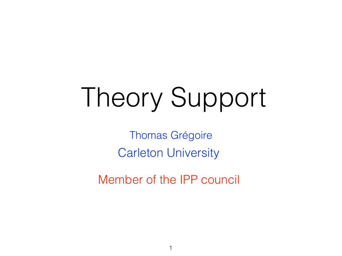### Theory Support

Thomas Grégoire Carleton University

Member of the IPP council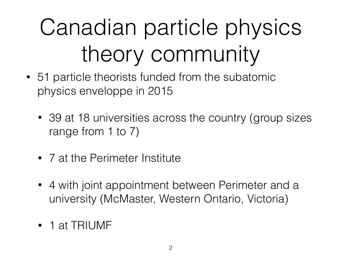### Canadian particle physics theory community

- 51 particle theorists funded from the subatomic physics enveloppe in 2015
	- 39 at 18 universities across the country (group sizes range from 1 to 7)
	- 7 at the Perimeter Institute
	- 4 with joint appointment between Perimeter and a university (McMaster, Western Ontario, Victoria)
	- 1 at TRIUMF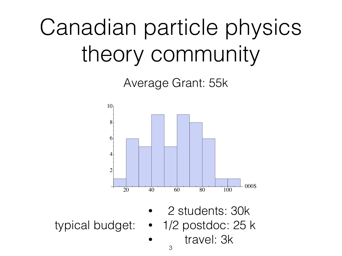### Canadian particle physics theory community

Average Grant: 55k



- 2 students: 30k
- 
- typical budget: 1/2 postdoc: 25 k
	- travel: 3k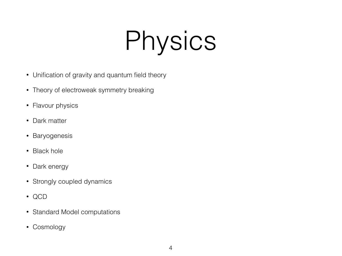### Physics

- Unification of gravity and quantum field theory
- Theory of electroweak symmetry breaking
- Flavour physics
- Dark matter
- Baryogenesis
- Black hole
- Dark energy
- Strongly coupled dynamics
- QCD
- Standard Model computations
- Cosmology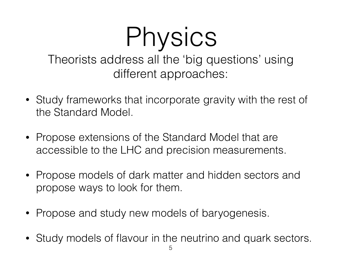#### Physics Theorists address all the 'big questions' using different approaches:

- Study frameworks that incorporate gravity with the rest of the Standard Model.
- Propose extensions of the Standard Model that are accessible to the LHC and precision measurements.
- Propose models of dark matter and hidden sectors and propose ways to look for them.
- Propose and study new models of baryogenesis.
- Study models of flavour in the neutrino and quark sectors.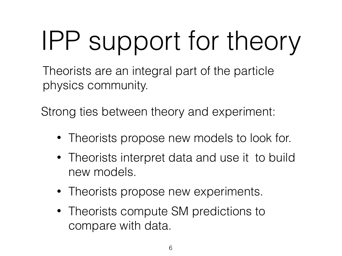# IPP support for theory

Theorists are an integral part of the particle physics community.

Strong ties between theory and experiment:

- Theorists propose new models to look for.
- Theorists interpret data and use it to build new models.
- Theorists propose new experiments.
- Theorists compute SM predictions to compare with data.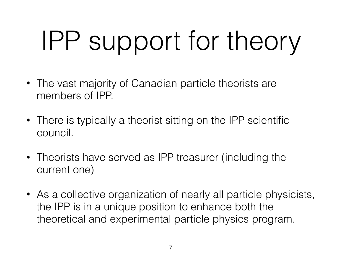# IPP support for theory

- The vast majority of Canadian particle theorists are members of IPP.
- There is typically a theorist sitting on the IPP scientific council.
- Theorists have served as IPP treasurer (including the current one)
- As a collective organization of nearly all particle physicists, the IPP is in a unique position to enhance both the theoretical and experimental particle physics program.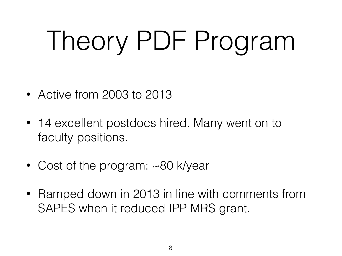# Theory PDF Program

- Active from 2003 to 2013
- 14 excellent postdocs hired. Many went on to faculty positions.
- Cost of the program: ~80 k/year
- Ramped down in 2013 in line with comments from SAPES when it reduced IPP MRS grant.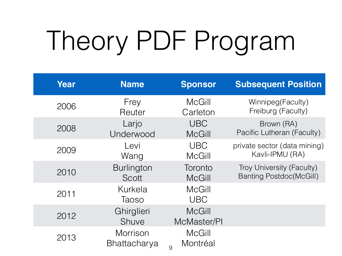# Theory PDF Program

| Year | <b>Name</b>                     | <b>Sponsor</b>                 | <b>Subsequent Position</b>     |
|------|---------------------------------|--------------------------------|--------------------------------|
| 2006 | Frey                            | <b>McGill</b>                  | Winnipeg(Faculty)              |
|      | Reuter                          | Carleton                       | Freiburg (Faculty)             |
| 2008 | Larjo                           | <b>UBC</b>                     | Brown (RA)                     |
|      | Underwood                       | <b>McGill</b>                  | Pacific Lutheran (Faculty)     |
| 2009 | Levi                            | <b>UBC</b>                     | private sector (data mining)   |
|      | Wang                            | <b>McGill</b>                  | Kavli-IPMU (RA)                |
| 2010 | <b>Burlington</b>               | Toronto                        | Troy University (Faculty)      |
|      | Scott                           | <b>McGill</b>                  | <b>Banting Postdoc(McGill)</b> |
| 2011 | Kurkela<br>Taoso                | <b>McGill</b><br><b>UBC</b>    |                                |
| 2012 | Ghirglieri<br>Shuve             | <b>McGill</b><br>McMaster/PI   |                                |
| 2013 | Morrison<br><b>Bhattacharya</b> | <b>McGill</b><br>Montréal<br>9 |                                |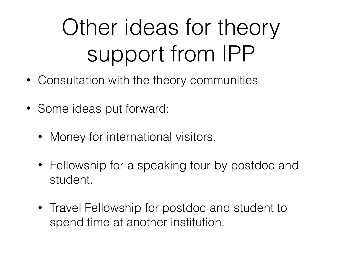#### Other ideas for theory support from IPP

- Consultation with the theory communities
- Some ideas put forward:
	- Money for international visitors.
	- Fellowship for a speaking tour by postdoc and student.
	- Travel Fellowship for postdoc and student to spend time at another institution.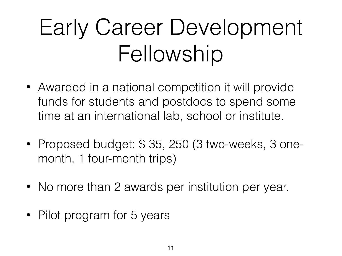#### Early Career Development Fellowship

- Awarded in a national competition it will provide funds for students and postdocs to spend some time at an international lab, school or institute.
- Proposed budget: \$ 35, 250 (3 two-weeks, 3 onemonth, 1 four-month trips)
- No more than 2 awards per institution per year.
- Pilot program for 5 years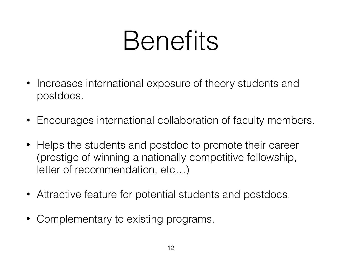### Benefits

- Increases international exposure of theory students and postdocs.
- Encourages international collaboration of faculty members.
- Helps the students and postdoc to promote their career (prestige of winning a nationally competitive fellowship, letter of recommendation, etc…)
- Attractive feature for potential students and postdocs.
- Complementary to existing programs.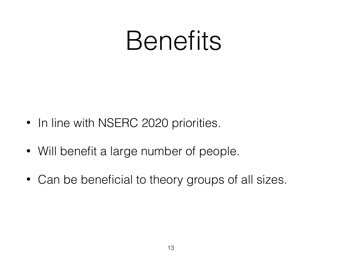### Benefits

- In line with NSERC 2020 priorities.
- Will benefit a large number of people.
- Can be beneficial to theory groups of all sizes.